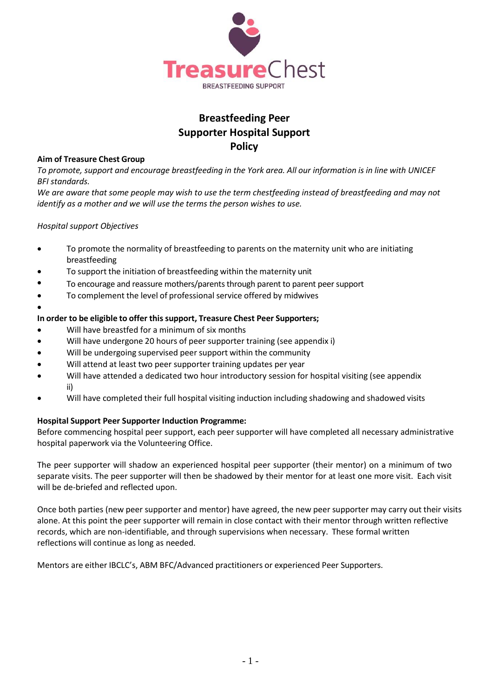

# **Breastfeeding Peer Supporter Hospital Support Policy**

#### **Aim of Treasure Chest Group**

To promote, support and encourage breastfeeding in the York area. All our information is in line with UNICEF *BFI standards.*

*We are aware that some people may wish to use the term chestfeeding instead of breastfeeding and may not identify as a mother and we will use the terms the person wishes to use.*

### *Hospital support Objectives*

•

- To promote the normality of breastfeeding to parents on the maternity unit who are initiating breastfeeding
- To support the initiation of breastfeeding within the maternity unit
- To encourage and reassure mothers/parents through parent to parent peer support
- To complement the level of professional service offered by midwives

#### **In order to be eligible to offer this support, Treasure Chest Peer Supporters;**

- Will have breastfed for a minimum of six months
- Will have undergone 20 hours of peer supporter training (see appendix i)
- Will be undergoing supervised peer support within the community
- Will attend at least two peer supporter training updates per year
- Will have attended a dedicated two hour introductory session for hospital visiting (see appendix ii)
- Will have completed their full hospital visiting induction including shadowing and shadowed visits

#### **Hospital Support Peer Supporter Induction Programme:**

Before commencing hospital peer support, each peer supporter will have completed all necessary administrative hospital paperwork via the Volunteering Office.

The peer supporter will shadow an experienced hospital peer supporter (their mentor) on a minimum of two separate visits. The peer supporter will then be shadowed by their mentor for at least one more visit. Each visit will be de-briefed and reflected upon.

Once both parties (new peer supporter and mentor) have agreed, the new peer supporter may carry out their visits alone. At this point the peer supporter will remain in close contact with their mentor through written reflective records, which are non-identifiable, and through supervisions when necessary. These formal written reflections will continue as long as needed.

Mentors are either IBCLC's, ABM BFC/Advanced practitioners or experienced Peer Supporters.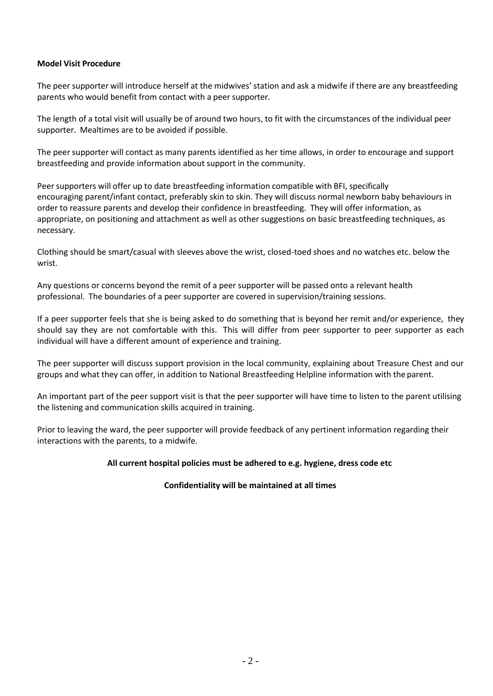#### **Model Visit Procedure**

The peer supporter will introduce herself at the midwives' station and ask a midwife if there are any breastfeeding parents who would benefit from contact with a peer supporter.

The length of a total visit will usually be of around two hours, to fit with the circumstances of the individual peer supporter. Mealtimes are to be avoided if possible.

The peer supporter will contact as many parents identified as her time allows, in order to encourage and support breastfeeding and provide information about support in the community.

Peer supporters will offer up to date breastfeeding information compatible with BFI, specifically encouraging parent/infant contact, preferably skin to skin. They will discuss normal newborn baby behaviours in order to reassure parents and develop their confidence in breastfeeding. They will offer information, as appropriate, on positioning and attachment as well as other suggestions on basic breastfeeding techniques, as necessary.

Clothing should be smart/casual with sleeves above the wrist, closed-toed shoes and no watches etc. below the wrist.

Any questions or concerns beyond the remit of a peer supporter will be passed onto a relevant health professional. The boundaries of a peer supporter are covered in supervision/training sessions.

If a peer supporter feels that she is being asked to do something that is beyond her remit and/or experience, they should say they are not comfortable with this. This will differ from peer supporter to peer supporter as each individual will have a different amount of experience and training.

The peer supporter will discuss support provision in the local community, explaining about Treasure Chest and our groups and what they can offer, in addition to National Breastfeeding Helpline information with theparent.

An important part of the peer support visit is that the peer supporter will have time to listen to the parent utilising the listening and communication skills acquired in training.

Prior to leaving the ward, the peer supporter will provide feedback of any pertinent information regarding their interactions with the parents, to a midwife.

### **All current hospital policies must be adhered to e.g. hygiene, dress code etc**

### **Confidentiality will be maintained at all times**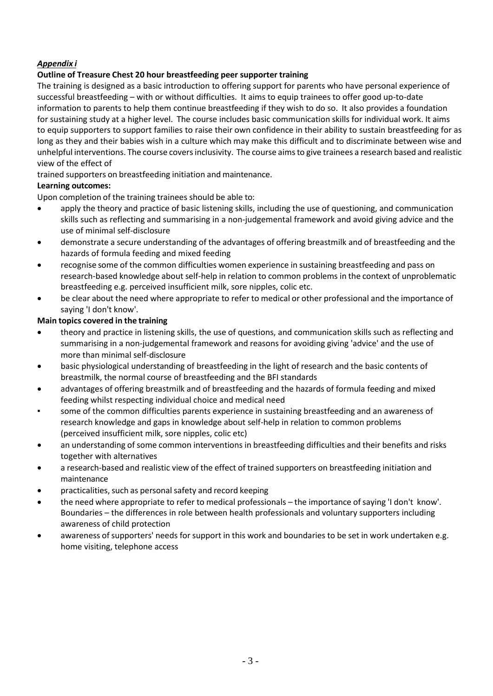# *Appendix i*

## **Outline of Treasure Chest 20 hour breastfeeding peer supporter training**

The training is designed as a basic introduction to offering support for parents who have personal experience of successful breastfeeding – with or without difficulties. It aims to equip trainees to offer good up-to-date information to parents to help them continue breastfeeding if they wish to do so. It also provides a foundation for sustaining study at a higher level. The course includes basic communication skills for individual work. It aims to equip supporters to support families to raise their own confidence in their ability to sustain breastfeeding for as long as they and their babies wish in a culture which may make this difficult and to discriminate between wise and unhelpful interventions. The course covers inclusivity. The course aims to give trainees a research based and realistic view of the effect of

trained supporters on breastfeeding initiation and maintenance.

## **Learning outcomes:**

Upon completion of the training trainees should be able to:

- apply the theory and practice of basic listening skills, including the use of questioning, and communication skills such as reflecting and summarising in a non-judgemental framework and avoid giving advice and the use of minimal self-disclosure
- demonstrate a secure understanding of the advantages of offering breastmilk and of breastfeeding and the hazards of formula feeding and mixed feeding
- recognise some of the common difficulties women experience in sustaining breastfeeding and pass on research-based knowledge about self-help in relation to common problems in the context of unproblematic breastfeeding e.g. perceived insufficient milk, sore nipples, colic etc.
- be clear about the need where appropriate to refer to medical or other professional and the importance of saying 'I don't know'.

## **Main topics covered in the training**

- theory and practice in listening skills, the use of questions, and communication skills such as reflecting and summarising in a non-judgemental framework and reasons for avoiding giving 'advice' and the use of more than minimal self-disclosure
- basic physiological understanding of breastfeeding in the light of research and the basic contents of breastmilk, the normal course of breastfeeding and the BFI standards
- advantages of offering breastmilk and of breastfeeding and the hazards of formula feeding and mixed feeding whilst respecting individual choice and medical need
- some of the common difficulties parents experience in sustaining breastfeeding and an awareness of research knowledge and gaps in knowledge about self-help in relation to common problems (perceived insufficient milk, sore nipples, colic etc)
- an understanding of some common interventions in breastfeeding difficulties and their benefits and risks together with alternatives
- a research-based and realistic view of the effect of trained supporters on breastfeeding initiation and maintenance
- practicalities, such as personal safety and record keeping
- the need where appropriate to refer to medical professionals the importance ofsaying 'I don't know'. Boundaries – the differences in role between health professionals and voluntary supporters including awareness of child protection
- awareness of supporters' needs for support in this work and boundaries to be set in work undertaken e.g. home visiting, telephone access